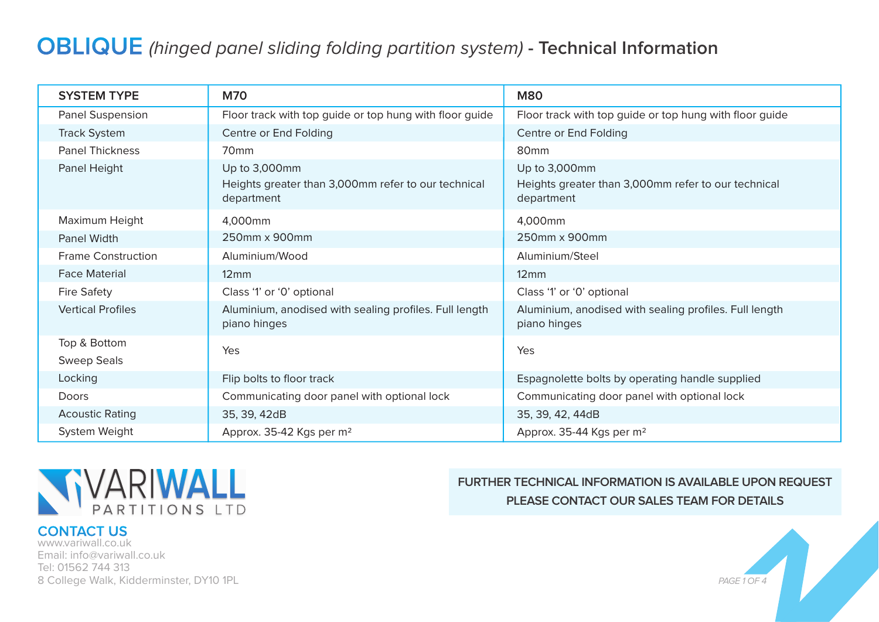## **OBLIQUE** (hinged panel sliding folding partition system) **- Technical Information**

| <b>SYSTEM TYPE</b>                 | <b>M70</b>                                                                         | <b>M80</b>                                                                         |
|------------------------------------|------------------------------------------------------------------------------------|------------------------------------------------------------------------------------|
| Panel Suspension                   | Floor track with top guide or top hung with floor guide                            | Floor track with top guide or top hung with floor guide                            |
| <b>Track System</b>                | Centre or End Folding                                                              | Centre or End Folding                                                              |
| <b>Panel Thickness</b>             | 70 <sub>mm</sub>                                                                   | 80 <sub>mm</sub>                                                                   |
| Panel Height                       | Up to 3,000mm<br>Heights greater than 3,000mm refer to our technical<br>department | Up to 3,000mm<br>Heights greater than 3,000mm refer to our technical<br>department |
| Maximum Height                     | 4,000mm                                                                            | 4,000mm                                                                            |
| <b>Panel Width</b>                 | 250mm x 900mm                                                                      | 250mm x 900mm                                                                      |
| <b>Frame Construction</b>          | Aluminium/Wood                                                                     | Aluminium/Steel                                                                    |
| <b>Face Material</b>               | 12mm                                                                               | 12mm                                                                               |
| <b>Fire Safety</b>                 | Class '1' or '0' optional                                                          | Class '1' or '0' optional                                                          |
| <b>Vertical Profiles</b>           | Aluminium, anodised with sealing profiles. Full length<br>piano hinges             | Aluminium, anodised with sealing profiles. Full length<br>piano hinges             |
| Top & Bottom<br><b>Sweep Seals</b> | Yes                                                                                | Yes                                                                                |
| Locking                            | Flip bolts to floor track                                                          | Espagnolette bolts by operating handle supplied                                    |
| Doors                              | Communicating door panel with optional lock                                        | Communicating door panel with optional lock                                        |
| <b>Acoustic Rating</b>             | 35, 39, 42dB                                                                       | 35, 39, 42, 44dB                                                                   |
| System Weight                      | Approx. 35-42 Kgs per m <sup>2</sup>                                               | Approx. 35-44 Kgs per m <sup>2</sup>                                               |



### **CONTACT US**

www.variwall.co.uk Email: info@variwall.co.uk Tel: 01562 744 313 8 College Walk, Kidderminster, DY10 1PL

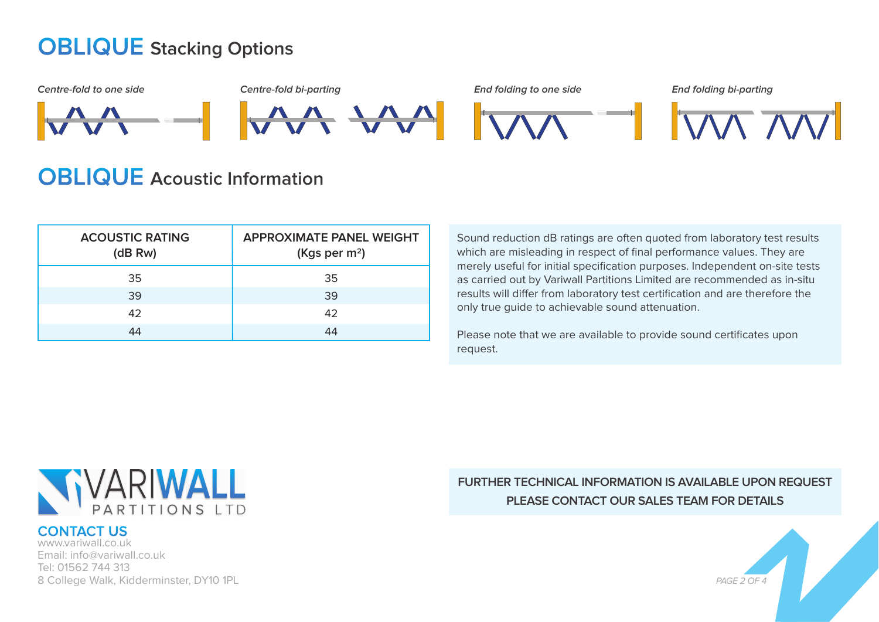# **OBLIQUE Stacking Options**



## **OBLIQUE Acoustic Information**

| <b>ACOUSTIC RATING</b><br>(dB Rw) | <b>APPROXIMATE PANEL WEIGHT</b><br>(Kgs per m <sup>2</sup> ) |
|-----------------------------------|--------------------------------------------------------------|
| 35                                | 35                                                           |
| 39                                | 39                                                           |
| 42                                | 42                                                           |
| 44                                | 44                                                           |

Sound reduction dB ratings are often quoted from laboratory test results which are misleading in respect of final performance values. They are merely useful for initial specification purposes. Independent on-site tests as carried out by Variwall Partitions Limited are recommended as in-situ results will differ from laboratory test certification and are therefore the only true guide to achievable sound attenuation.

Please note that we are available to provide sound certificates upon request.



#### **CONTACT US**

www.variwall.co.uk Email: info@variwall.co.uk Tel: 01562 744 313 8 College Walk, Kidderminster, DY10 1PL

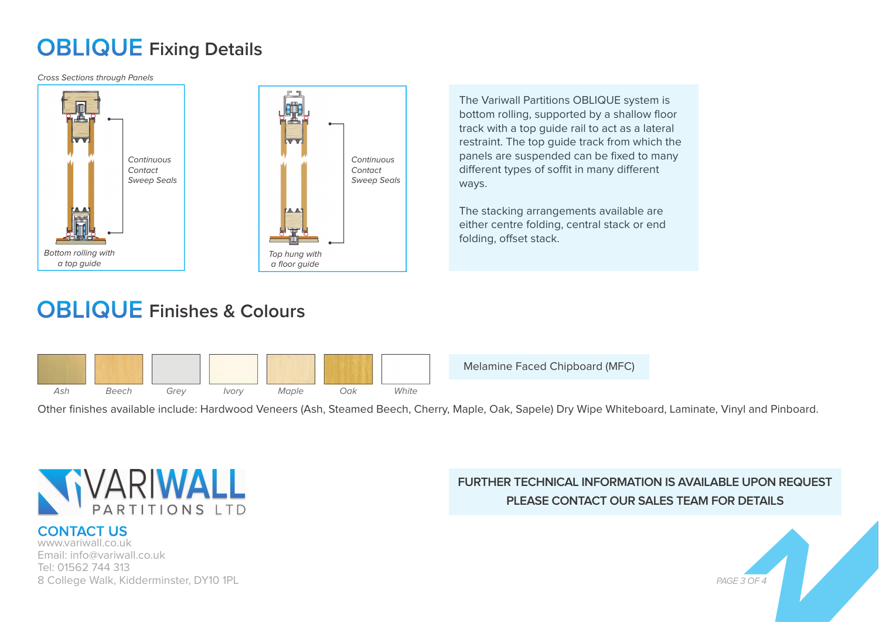# **OBLIQUE Fixing Details**

Cross Sections through Panels



#### The Variwall Partitions OBLIQUE system is bottom rolling, supported by a shallow floor track with a top guide rail to act as a lateral restraint. The top guide track from which the panels are suspended can be fixed to many different types of soffit in many different ways.

The stacking arrangements available are either centre folding, central stack or end folding, offset stack.





Melamine Faced Chipboard (MFC)

Other finishes available include: Hardwood Veneers (Ash, Steamed Beech, Cherry, Maple, Oak, Sapele) Dry Wipe Whiteboard, Laminate, Vinyl and Pinboard.



### **CONTACT US**

www.variwall.co.uk Email: info@variwall.co.uk Tel: 01562 744 313 8 College Walk, Kidderminster, DY10 1PL